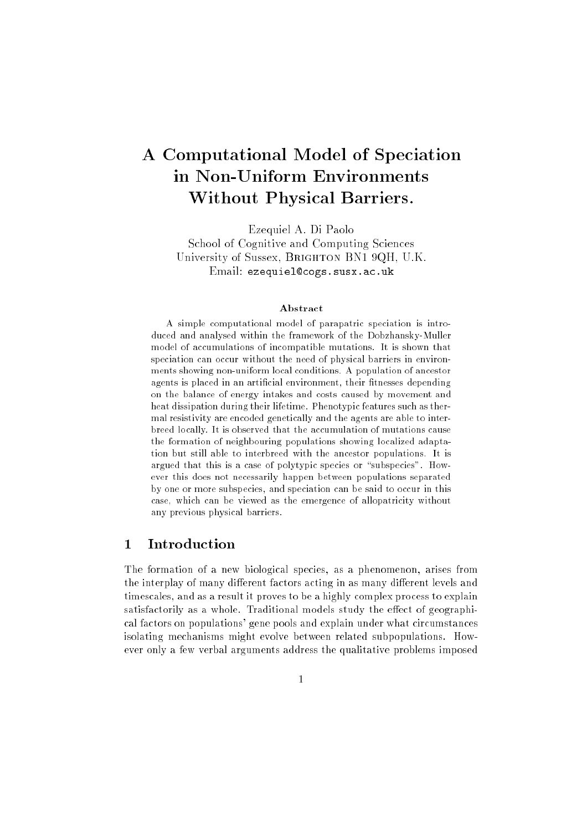# A Computational Model of Speciation in Non-Uniform Environments Without Physical Barriers.

Ezequiel A. Di Paolo School of Cognitive and Computing Sciences University of Sussex, Brighton BN1 9QH, U.K. Email: ezequiel@cogs.susx.ac.uk

#### Abstract

A simple computational model of parapatric speciation is introduced and analysed within the framework of the Dobzhansky-Muller model of accumulations of incompatible mutations. It is shown that speciation can occur without the need of physical barriers in environments showing non-uniform local conditions. A population of ancestor agents is placed in an artificial environment, their fitnesses depending on the balance of energy intakes and costs caused by movement and heat dissipation during their lifetime. Phenotypic features such as thermal resistivity are encoded genetically and the agents are able to interbreed locally. It is observed that the accumulation of mutations cause the formation of neighbouring populations showing localized adaptation but still able to interbreed with the ancestor populations. It is argued that this is a case of polytypic species or "subspecies". However this does not necessarily happen between populations separated by one or more subspecies, and speciation can be said to occur in this case, which can be viewed as the emergence of allopatricity without any previous physical barriers.

#### $\mathbf{1}$ **Introduction**

The formation of a new biological species, as a phenomenon, arises from the interplay of many different factors acting in as many different levels and timescales, and as a result it proves to be a highly complex process to explain satisfactorily as a whole. Traditional models study the effect of geographical factors on populations' gene pools and explain under what circumstances isolating mechanisms might evolve between related subpopulations. However only a few verbal arguments address the qualitative problems imposed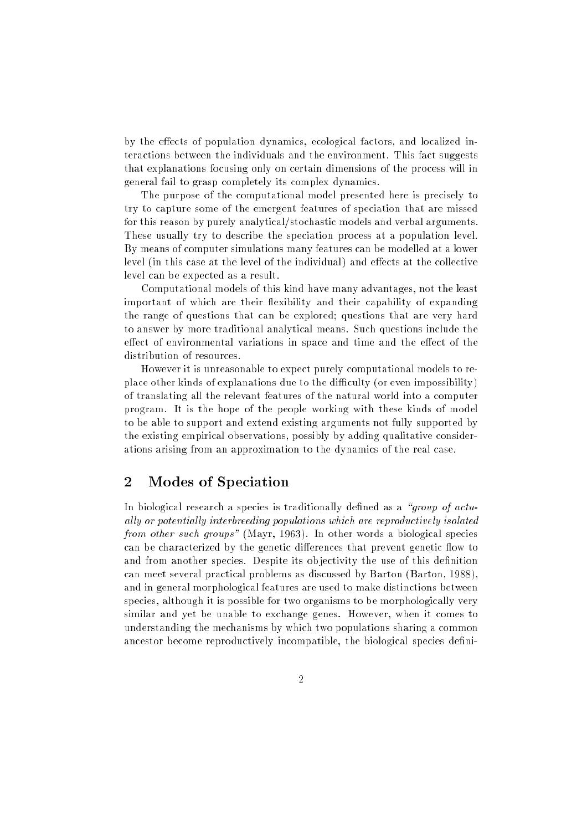by the effects of population dynamics, ecological factors, and localized interactions between the individuals and the environment. This fact suggests that explanations focusing only on certain dimensions of the process will in general fail to grasp completely its complex dynamics.

The purpose of the computational model presented here is precisely to try to capture some of the emergent features of speciation that are missed for this reason by purely analytical/stochastic models and verbal arguments. These usually try to describe the speciation process at a population level. By means of computer simulations many features can be modelled at a lower level (in this case at the level of the individual) and effects at the collective level can be expected as a result.

Computational models of this kind have many advantages, not the least important of which are their flexibility and their capability of expanding the range of questions that can be explored; questions that are very hard to answer by more traditional analytical means. Such questions include the effect of environmental variations in space and time and the effect of the distribution of resources.

However it is unreasonable to expect purely computational models to replace other kinds of explanations due to the difficulty (or even impossibility) of translating all the relevant features of the natural world into a computer program. It is the hope of the people working with these kinds of model to be able to support and extend existing arguments not fully supported by the existing empirical observations, possibly by adding qualitative considerations arising from an approximation to the dynamics of the real case.

#### $\overline{2}$ Modes of Speciation

In biological research a species is traditionally defined as a "group of  $actu$ ally or potentially interbreeding populations which are reproductively isolated from other such groups" (Mayr, 1963). In other words a biological species can be characterized by the genetic differences that prevent genetic flow to and from another species. Despite its objectivity the use of this definition can meet several practical problems as discussed by Barton (Barton, 1988), and in general morphological features are used to make distinctions between species, although it is possible for two organisms to be morphologically very similar and yet be unable to exchange genes. However, when it comes to understanding the mechanisms by which two populations sharing a common ancestor become reproductively incompatible, the biological species defini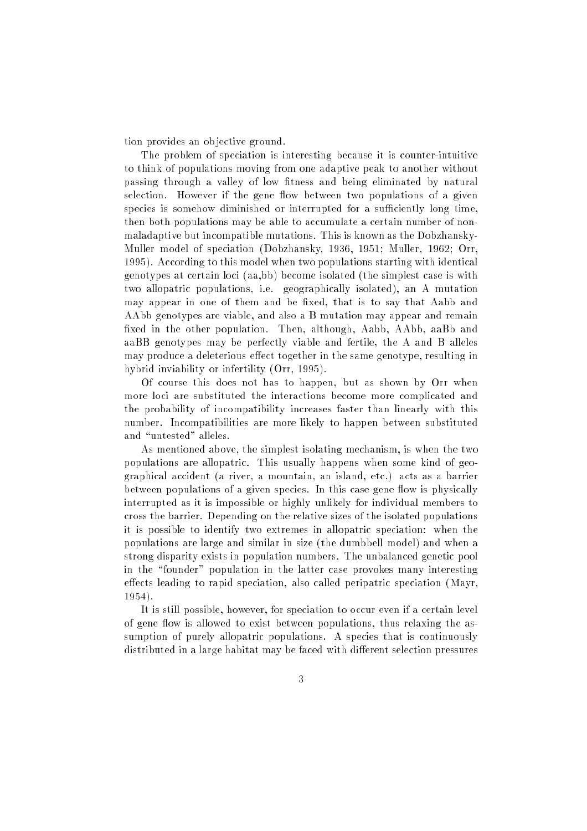tion provides an ob jective ground.

The problem of speciation is interesting because it is counter-intuitive to think of populations moving from one adaptive peak to another without passing through a valley of low fitness and being eliminated by natural selection. However if the gene flow between two populations of a given species is somehow diminished or interrupted for a sufficiently long time, then both populations may be able to accumulate a certain number of nonmaladaptive but incompatible mutations. This is known as the Dobzhansky-Muller model of speciation (Dobzhansky, 1936, 1951; Muller, 1962; Orr, 1995). According to this model when two populations starting with identical genotypes at certain loci (aa,bb) become isolated (the simplest case is with two allopatric populations, i.e. geographically isolated), an A mutation may appear in one of them and be fixed, that is to say that Aabb and AAbb genotypes are viable, and also a B mutation may appear and remain fixed in the other population. Then, although, Aabb, AAbb, aaBb and aaBB genotypes may be perfectly viable and fertile, the A and B alleles may produce a deleterious effect together in the same genotype, resulting in hybrid inviability or infertility (Orr, 1995).

Of course this does not has to happen, but as shown by Orr when more loci are substituted the interactions become more complicated and the probability of incompatibility increases faster than linearly with this number. Incompatibilities are more likely to happen between substituted and "untested" alleles.

As mentioned above, the simplest isolating mechanism, is when the two populations are allopatric. This usually happens when some kind of geographical accident (a river, a mountain, an island, etc.) acts as a barrier between populations of a given species. In this case gene flow is physically interrupted as it is impossible or highly unlikely for individual members to cross the barrier. Depending on the relative sizes of the isolated populations it is possible to identify two extremes in allopatric speciation: when the populations are large and similar in size (the dumbbell model) and when a strong disparity exists in population numbers. The unbalanced genetic pool in the "founder" population in the latter case provokes many interesting effects leading to rapid speciation, also called peripatric speciation (Mayr, 1954).

It is still possible, however, for speciation to occur even if a certain level of gene flow is allowed to exist between populations, thus relaxing the assumption of purely allopatric populations. A species that is continuously distributed in a large habitat may be faced with different selection pressures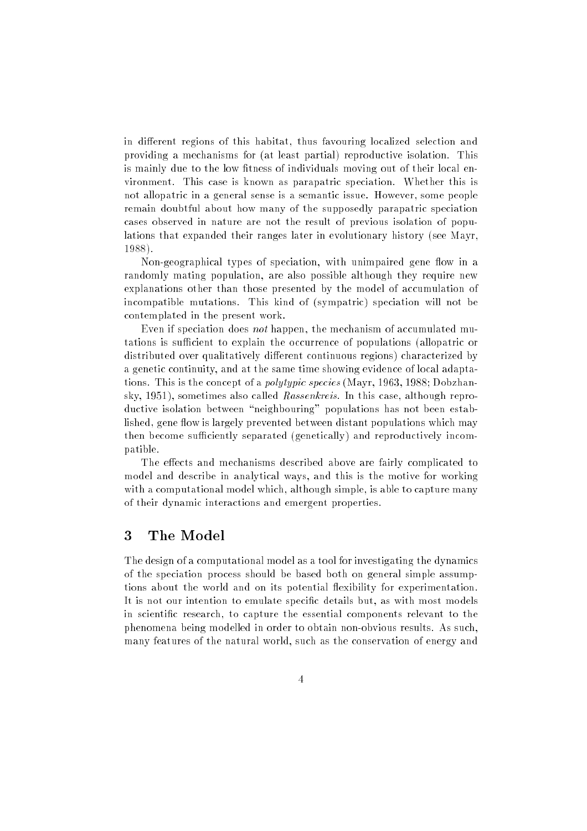in different regions of this habitat, thus favouring localized selection and providing a mechanisms for (at least partial) reproductive isolation. This is mainly due to the low fitness of individuals moving out of their local environment. This case is known as parapatric speciation. Whether this is not allopatric in a general sense is a semantic issue. However, some people remain doubtful about how many of the supposedly parapatric speciation cases observed in nature are not the result of previous isolation of populations that expanded their ranges later in evolutionary history (see Mayr, 1988).

Non-geographical types of speciation, with unimpaired gene flow in a randomly mating population, are also possible although they require new explanations other than those presented by the model of accumulation of incompatible mutations. This kind of (sympatric) speciation will not be contemplated in the present work.

Even if speciation does not happen, the mechanism of accumulated mutations is sufficient to explain the occurrence of populations (allopatric or distributed over qualitatively different continuous regions) characterized by a genetic continuity, and at the same time showing evidence of local adaptations. This is the concept of a polytypic species (Mayr, 1963, 1988; Dobzhansky, 1951), sometimes also called *Rassenkreis*. In this case, although reproductive isolation between "neighbouring" populations has not been established, gene flow is largely prevented between distant populations which may then become sufficiently separated (genetically) and reproductively incompatible.

The effects and mechanisms described above are fairly complicated to model and describe in analytical ways, and this is the motive for working with a computational model which, although simple, is able to capture many of their dynamic interactions and emergent properties.

### 3 The Model

The design of a computational model as a tool for investigating the dynamics of the speciation process should be based both on general simple assumptions about the world and on its potential flexibility for experimentation. It is not our intention to emulate specific details but, as with most models in scientic research, to capture the essential components relevant to the phenomena being modelled in order to obtain non-obvious results. As such, many features of the natural world, such as the conservation of energy and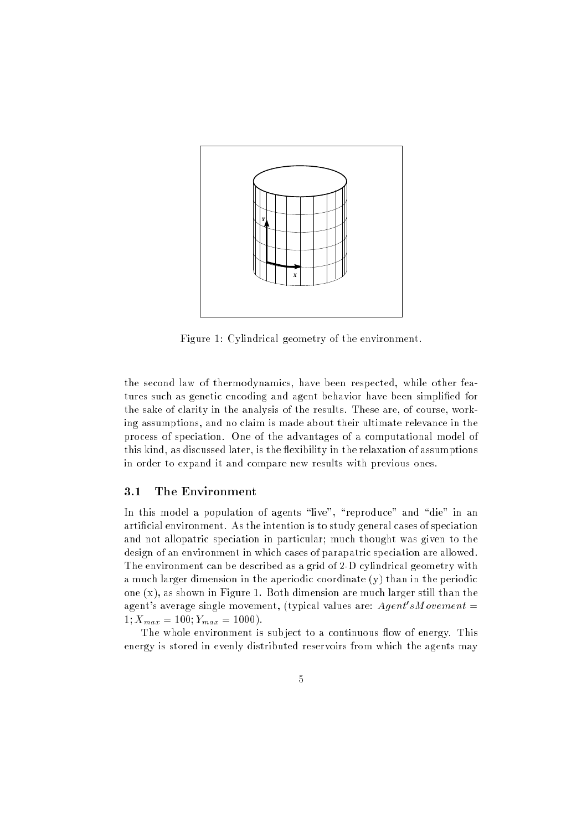

Figure 1: Cylindrical geometry of the environment.

the second law of thermodynamics, have been respected, while other features such as genetic encoding and agent behavior have been simplied for the sake of clarity in the analysis of the results. These are, of course, working assumptions, and no claim is made about their ultimate relevance in the process of speciation. One of the advantages of a computational model of this kind, as discussed later, is the flexibility in the relaxation of assumptions in order to expand it and compare new results with previous ones.

#### 3.1 The Environment

In this model a population of agents "live", "reproduce" and "die" in an articial environment. As the intention is to study general cases of speciation and not allopatric speciation in particular; much thought was given to the design of an environment in which cases of parapatric speciation are allowed. The environment can be described as a grid of 2-D cylindrical geometry with a much larger dimension in the aperiodic coordinate (y) than in the periodic one  $(x)$ , as shown in Figure 1. Both dimension are much larger still than the agent's average single movement, (typical values are:  $Agent'sMovement =$  $1; X_{max} = 100; Y_{max} = 1000).$ 

The whole environment is subject to a continuous flow of energy. This energy is stored in evenly distributed reservoirs from which the agents may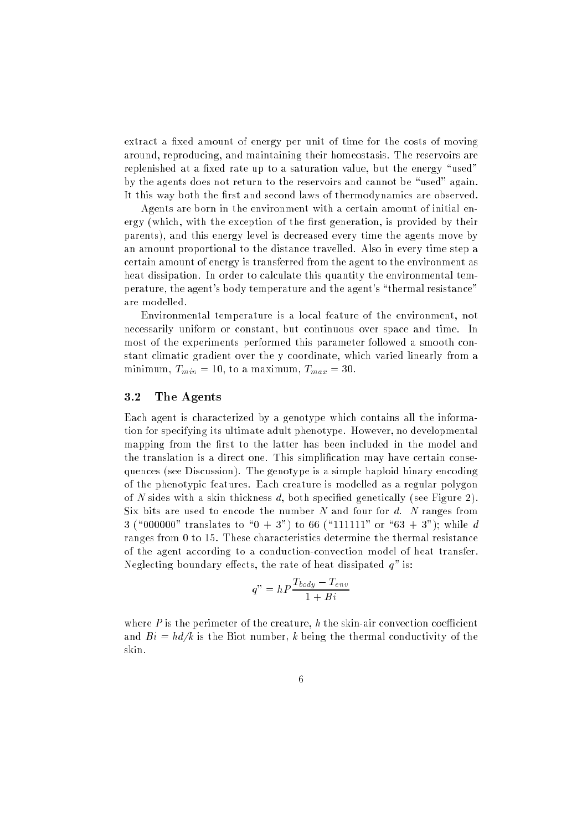extract a fixed amount of energy per unit of time for the costs of moving around, reproducing, and maintaining their homeostasis. The reservoirs are replenished at a fixed rate up to a saturation value, but the energy "used" by the agents does not return to the reservoirs and cannot be "used" again. It this way both the first and second laws of thermodynamics are observed.

Agents are born in the environment with a certain amount of initial energy (which, with the exception of the first generation, is provided by their parents), and this energy level is decreased every time the agents move by an amount proportional to the distance travelled. Also in every time step a certain amount of energy is transferred from the agent to the environment as heat dissipation. In order to calculate this quantity the environmental temperature, the agent's body temperature and the agent's \thermal resistance" are modelled.

Environmental temperature is a local feature of the environment, not necessarily uniform or constant, but continuous over space and time. In most of the experiments performed this parameter followed a smooth constant climatic gradient over the y coordinate, which varied linearly from a minimum,  $T_{min} = 10$ , to a maximum,  $T_{max} = 30$ .

#### 3.2 The Agents

Each agent is characterized by a genotype which contains all the information for specifying its ultimate adult phenotype. However, no developmental mapping from the first to the latter has been included in the model and the translation is a direct one. This simplication may have certain consequences (see Discussion). The genotype is a simple haploid binary encoding of the phenotypic features. Each creature is modelled as a regular polygon of N sides with a skin thickness d, both specified genetically (see Figure 2). Six bits are used to encode the number  $N$  and four for  $d$ .  $N$  ranges from 3 ("000000" translates to "0 + 3") to 66 ("111111" or "63 + 3"); while d ranges from 0 to 15. These characteristics determine the thermal resistance of the agent according to a conduction-convection model of heat transfer. Neglecting boundary effects, the rate of heat dissipated  $q^r$  is:

$$
q" = hP \frac{T_{body} - T_{env}}{1 + Bi}
$$

where  $P$  is the perimeter of the creature, h the skin-air convection coefficient and  $Bi = hd/k$  is the Biot number, k being the thermal conductivity of the skin.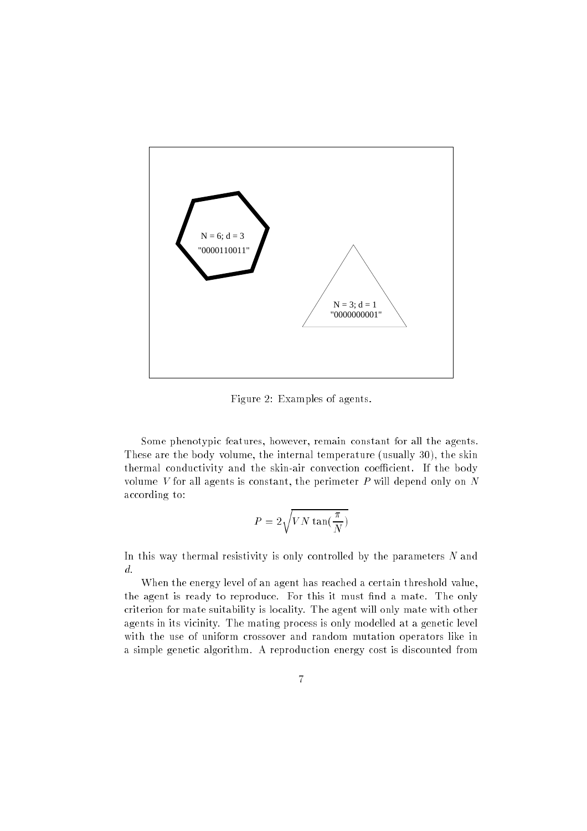

Figure 2: Examples of agents.

Some phenotypic features, however, remain constant for all the agents. These are the body volume, the internal temperature (usually 30), the skin thermal conductivity and the skin-air convection coefficient. If the body volume V for all agents is constant, the perimeter  $P$  will depend only on  $N$ according to:

$$
P = 2\sqrt{VN\,\tan(\frac{\pi}{N})}
$$

In this way thermal resistivity is only controlled by the parameters  $N$  and d.

When the energy level of an agent has reached a certain threshold value, the agent is ready to reproduce. For this it must find a mate. The only criterion for mate suitability is locality. The agent will only mate with other agents in its vicinity. The mating process is only modelled at a genetic level with the use of uniform crossover and random mutation operators like in a simple genetic algorithm. A reproduction energy cost is discounted from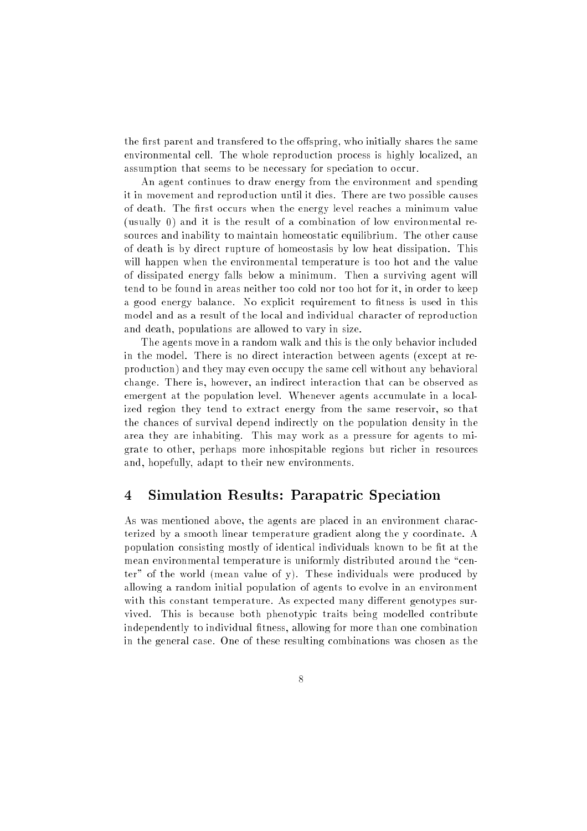the first parent and transfered to the offspring, who initially shares the same environmental cell. The whole reproduction process is highly localized, an assumption that seems to be necessary for speciation to occur.

An agent continues to draw energy from the environment and spending it in movement and reproduction until it dies. There are two possible causes of death. The first occurs when the energy level reaches a minimum value (usually 0) and it is the result of a combination of low environmental resources and inability to maintain homeostatic equilibrium. The other cause of death is by direct rupture of homeostasis by low heat dissipation. This will happen when the environmental temperature is too hot and the value of dissipated energy falls below a minimum. Then a surviving agent will tend to be found in areas neither too cold nor too hot for it, in order to keep a good energy balance. No explicit requirement to fitness is used in this model and as a result of the local and individual character of reproduction and death, populations are allowed to vary in size.

The agents move in a random walk and this is the only behavior included in the model. There is no direct interaction between agents (except at reproduction) and they may even occupy the same cell without any behavioral change. There is, however, an indirect interaction that can be observed as emergent at the population level. Whenever agents accumulate in a localized region they tend to extract energy from the same reservoir, so that the chances of survival depend indirectly on the population density in the area they are inhabiting. This may work as a pressure for agents to migrate to other, perhaps more inhospitable regions but richer in resources and, hopefully, adapt to their new environments.

### 4 Simulation Results: Parapatric Speciation

As was mentioned above, the agents are placed in an environment characterized by a smooth linear temperature gradient along the y coordinate. A population consisting mostly of identical individuals known to be fit at the mean environmental temperature is uniformly distributed around the "center" of the world (mean value of y). These individuals were produced by allowing a random initial population of agents to evolve in an environment with this constant temperature. As expected many different genotypes survived. This is because both phenotypic traits being modelled contribute independently to individual fitness, allowing for more than one combination in the general case. One of these resulting combinations was chosen as the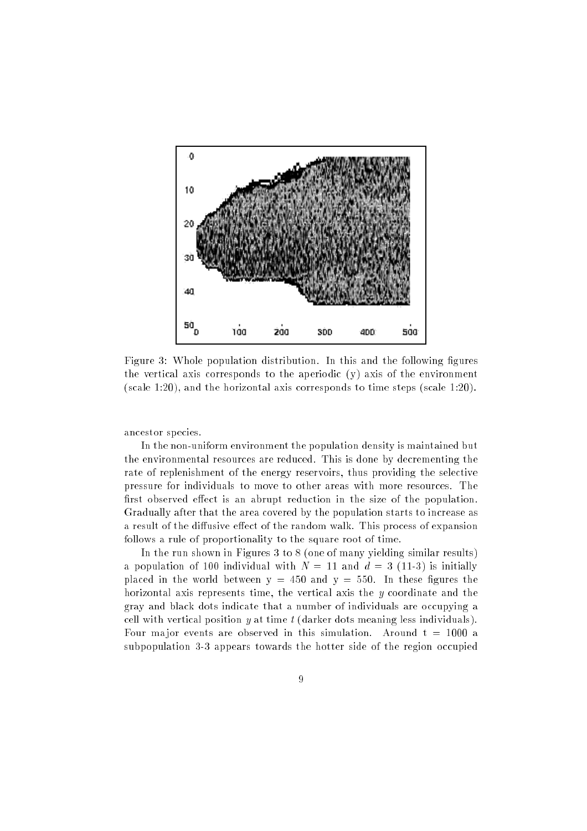

Figure 3: Whole population distribution. In this and the following figures the vertical axis corresponds to the aperiodic (y) axis of the environment (scale 1:20), and the horizontal axis corresponds to time steps (scale 1:20).

ancestor species.

In the non-uniform environment the population density is maintained but the environmental resources are reduced. This is done by decrementing the rate of replenishment of the energy reservoirs, thus providing the selective pressure for individuals to move to other areas with more resources. The first observed effect is an abrupt reduction in the size of the population. Gradually after that the area covered by the population starts to increase as a result of the diffusive effect of the random walk. This process of expansion follows a rule of proportionality to the square root of time.

In the run shown in Figures 3 to 8 (one of many yielding similar results) a population of 100 individual with  $N = 11$  and  $d = 3$  (11-3) is initially placed in the world between  $y = 450$  and  $y = 550$ . In these figures the horizontal axis represents time, the vertical axis the  $y$  coordinate and the gray and black dots indicate that a number of individuals are occupying a cell with vertical position  $y$  at time  $t$  (darker dots meaning less individuals). Four major events are observed in this simulation. Around  $t = 1000$  a subpopulation 3-3 appears towards the hotter side of the region occupied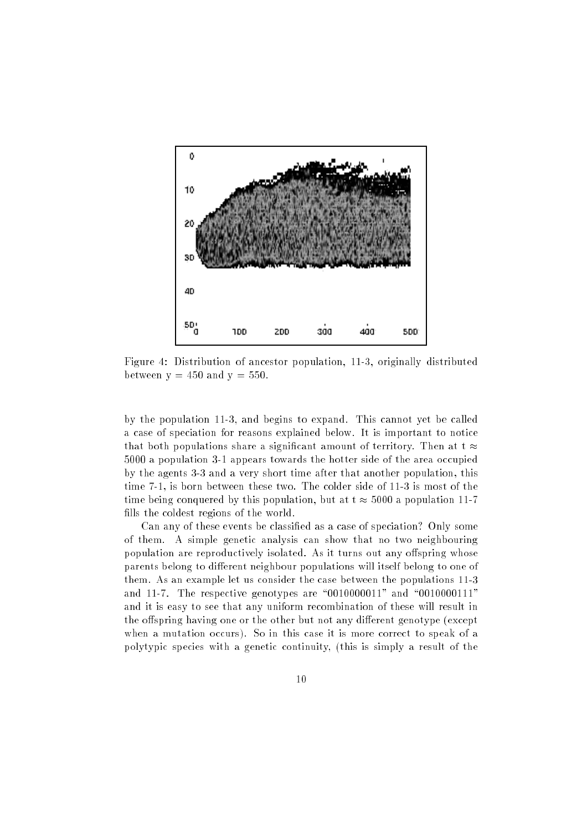

Figure 4: Distribution of ancestor population, 11-3, originally distributed between  $y = 450$  and  $y = 550$ .

by the population 11-3, and begins to expand. This cannot yet be called a case of speciation for reasons explained below. It is important to notice that both populations share a significant amount of territory. Then at  $t \approx$ 5000 a population 3-1 appears towards the hotter side of the area occupied by the agents 3-3 and a very short time after that another population, this time 7-1, is born between these two. The colder side of 11-3 is most of the time being conquered by this population, but at  $t \approx 5000$  a population 11-7 fills the coldest regions of the world.

Can any of these events be classied as a case of speciation? Only some of them. A simple genetic analysis can show that no two neighbouring population are reproductively isolated. As it turns out any offspring whose parents belong to different neighbour populations will itself belong to one of them. As an example let us consider the case between the populations 11-3 and 11-7. The respective genotypes are  $"0010000011"$  and  $"0010000111"$ and it is easy to see that any uniform recombination of these will result in the offspring having one or the other but not any different genotype (except when a mutation occurs). So in this case it is more correct to speak of a polytypic species with a genetic continuity, (this is simply a result of the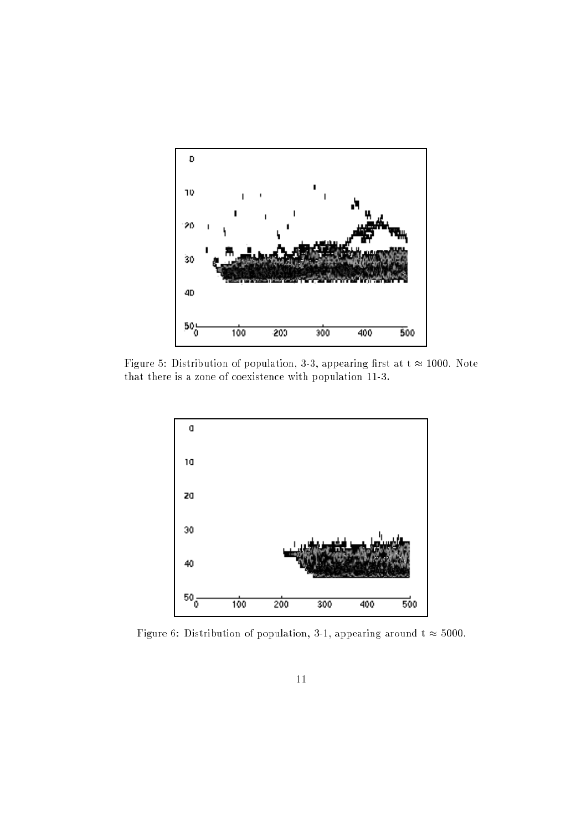

Figure 5: Distribution of population, 3-3, appearing first at  $t \approx 1000$ . Note that there is a zone of coexistence with population 11-3.



Figure 6: Distribution of population, 3-1, appearing around  $t \approx 5000$ .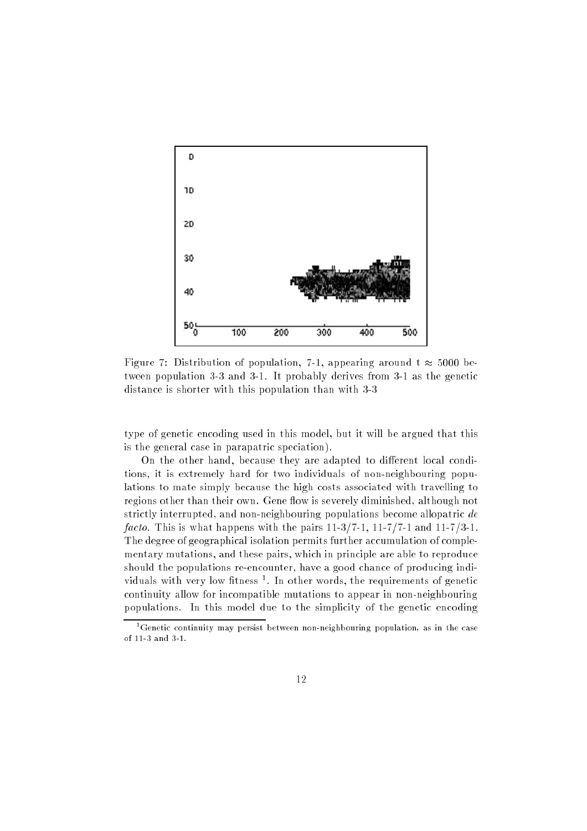

Figure 7: Distribution of population, 7-1, appearing around  $t \approx 5000$  between population 3-3 and 3-1. It probably derives from 3-1 as the genetic distance is shorter with this population than with 3-3

type of genetic encoding used in this model, but it will be argued that this is the general case in parapatric speciation).

On the other hand, because they are adapted to different local conditions, it is extremely hard for two individuals of non-neighbouring populations to mate simply because the high costs associated with travelling to regions other than their own. Gene flow is severely diminished, although not strictly interrupted, and non-neighbouring populations become allopatric de facto. This is what happens with the pairs  $11-3/7-1$ ,  $11-7/7-1$  and  $11-7/3-1$ . The degree of geographical isolation permits further accumulation of complementary mutations, and these pairs, which in principle are able to reproduce should the populations re-encounter, have a good chance of producing individuals with very low hthess -. In other words, the requirements of genetic continuity allow for incompatible mutations to appear in non-neighbouring populations. In this model due to the simplicity of the genetic encoding

<sup>1</sup> Genetic continuity may persist between non-neighbouring population, as in the case of 11-3 and 3-1.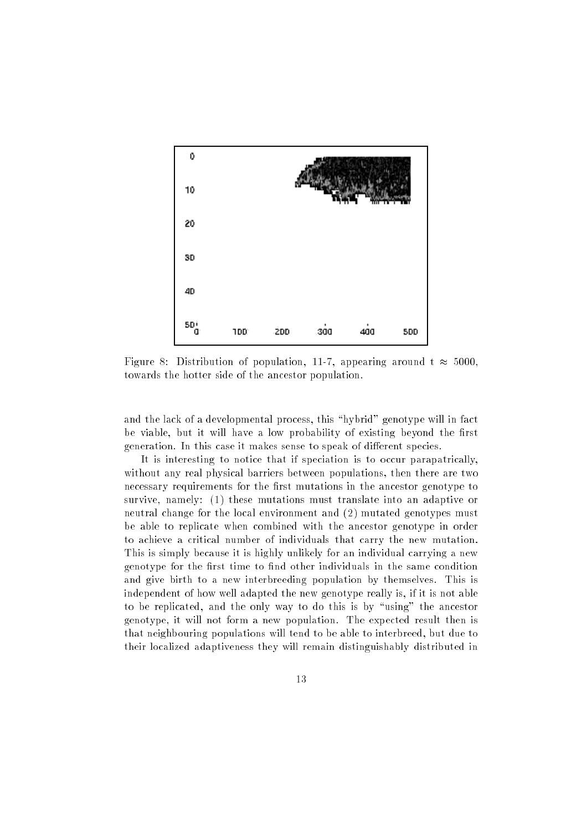

Figure 8: Distribution of population, 11-7, appearing around  $t \approx 5000$ , towards the hotter side of the ancestor population.

and the lack of a developmental process, this "hybrid" genotype will in fact be viable, but it will have a low probability of existing beyond the first generation. In this case it makes sense to speak of different species.

It is interesting to notice that if speciation is to occur parapatrically, without any real physical barriers between populations, then there are two necessary requirements for the first mutations in the ancestor genotype to survive, namely: (1) these mutations must translate into an adaptive or neutral change for the local environment and (2) mutated genotypes must be able to replicate when combined with the ancestor genotype in order to achieve a critical number of individuals that carry the new mutation. This is simply because it is highly unlikely for an individual carrying a new genotype for the first time to find other individuals in the same condition and give birth to a new interbreeding population by themselves. This is independent of how well adapted the new genotype really is, if it is not able to be replicated, and the only way to do this is by "using" the ancestor genotype, it will not form a new population. The expected result then is that neighbouring populations will tend to be able to interbreed, but due to their localized adaptiveness they will remain distinguishably distributed in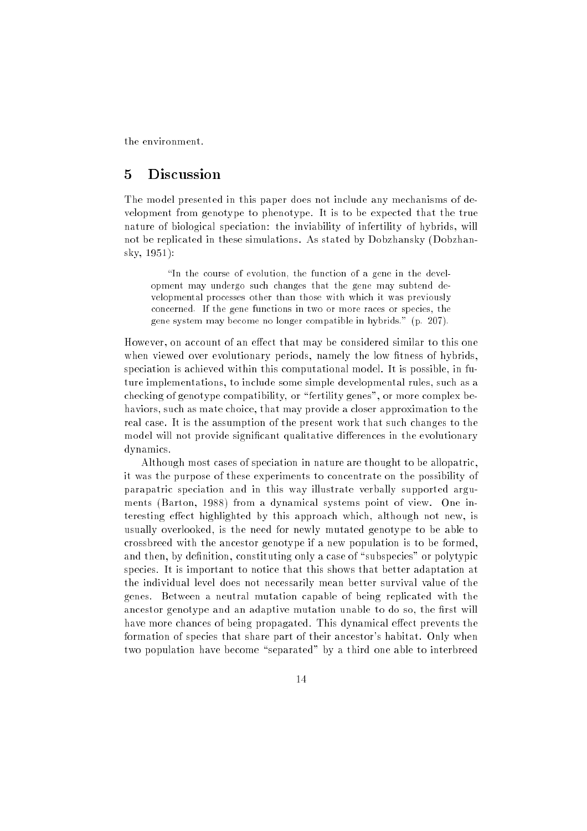the environment.

#### 5 **Discussion**

The model presented in this paper does not include any mechanisms of development from genotype to phenotype. It is to be expected that the true nature of biological speciation: the inviability of infertility of hybrids, will not be replicated in these simulations. As stated by Dobzhansky (Dobzhansky, 1951):

"In the course of evolution, the function of a gene in the development may undergo such changes that the gene may subtend developmental processes other than those with which it was previously concerned. If the gene functions in two or more races or species, the gene system may become no longer compatible in hybrids." (p. 207).

However, on account of an effect that may be considered similar to this one when viewed over evolutionary periods, namely the low fitness of hybrids, speciation is achieved within this computational model. It is possible, in future implementations, to include some simple developmental rules, such as a checking of genotype compatibility, or \fertility genes", or more complex behaviors, such as mate choice, that may provide a closer approximation to the real case. It is the assumption of the present work that such changes to the model will not provide significant qualitative differences in the evolutionary dynamics.

Although most cases of speciation in nature are thought to be allopatric, it was the purpose of these experiments to concentrate on the possibility of parapatric speciation and in this way illustrate verbally supported arguments (Barton, 1988) from a dynamical systems point of view. One interesting effect highlighted by this approach which, although not new, is usually overlooked, is the need for newly mutated genotype to be able to crossbreed with the ancestor genotype if a new population is to be formed, and then, by definition, constituting only a case of "subspecies" or polytypic species. It is important to notice that this shows that better adaptation at the individual level does not necessarily mean better survival value of the genes. Between a neutral mutation capable of being replicated with the ancestor genotype and an adaptive mutation unable to do so, the first will have more chances of being propagated. This dynamical effect prevents the formation of species that share part of their ancestor's habitat. Only when two population have become "separated" by a third one able to interbreed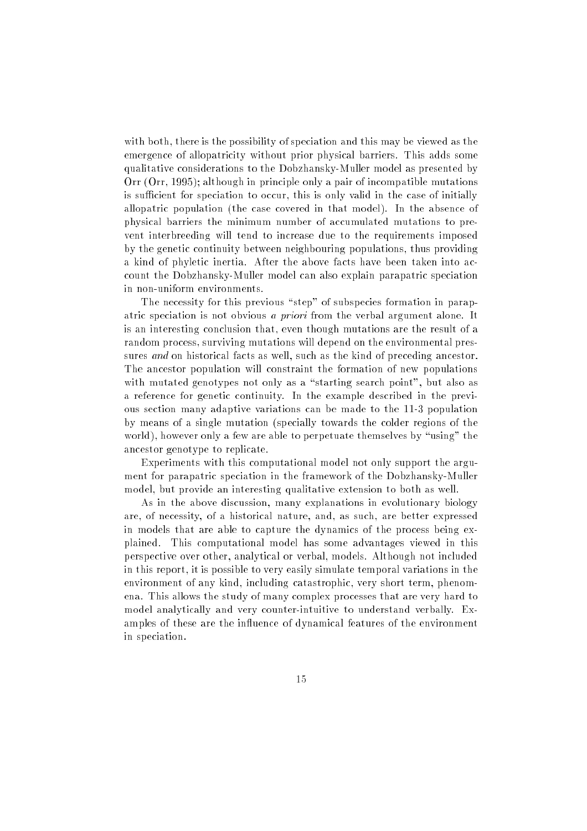with both, there is the possibility of speciation and this may be viewed as the emergence of allopatricity without prior physical barriers. This adds some qualitative considerations to the Dobzhansky-Muller model as presented by Orr (Orr, 1995); although in principle only a pair of incompatible mutations is sufficient for speciation to occur, this is only valid in the case of initially allopatric population (the case covered in that model). In the absence of physical barriers the minimum number of accumulated mutations to prevent interbreeding will tend to increase due to the requirements imposed by the genetic continuity between neighbouring populations, thus providing a kind of phyletic inertia. After the above facts have been taken into account the Dobzhansky-Muller model can also explain parapatric speciation in non-uniform environments.

The necessity for this previous "step" of subspecies formation in parapatric speciation is not obvious a priori from the verbal argument alone. It is an interesting conclusion that, even though mutations are the result of a random process, surviving mutations will depend on the environmental pressures and on historical facts as well, such as the kind of preceding ancestor. The ancestor population will constraint the formation of new populations with mutated genotypes not only as a "starting search point", but also as a reference for genetic continuity. In the example described in the previous section many adaptive variations can be made to the 11-3 population by means of a single mutation (specially towards the colder regions of the world), however only a few are able to perpetuate themselves by "using" the ancestor genotype to replicate.

Experiments with this computational model not only support the argument for parapatric speciation in the framework of the Dobzhansky-Muller model, but provide an interesting qualitative extension to both as well.

As in the above discussion, many explanations in evolutionary biology are, of necessity, of a historical nature, and, as such, are better expressed in models that are able to capture the dynamics of the process being explained. This computational model has some advantages viewed in this perspective over other, analytical or verbal, models. Although not included in this report, it is possible to very easily simulate temporal variations in the environment of any kind, including catastrophic, very short term, phenomena. This allows the study of many complex processes that are very hard to model analytically and very counter-intuitive to understand verbally. Examples of these are the influence of dynamical features of the environment in speciation.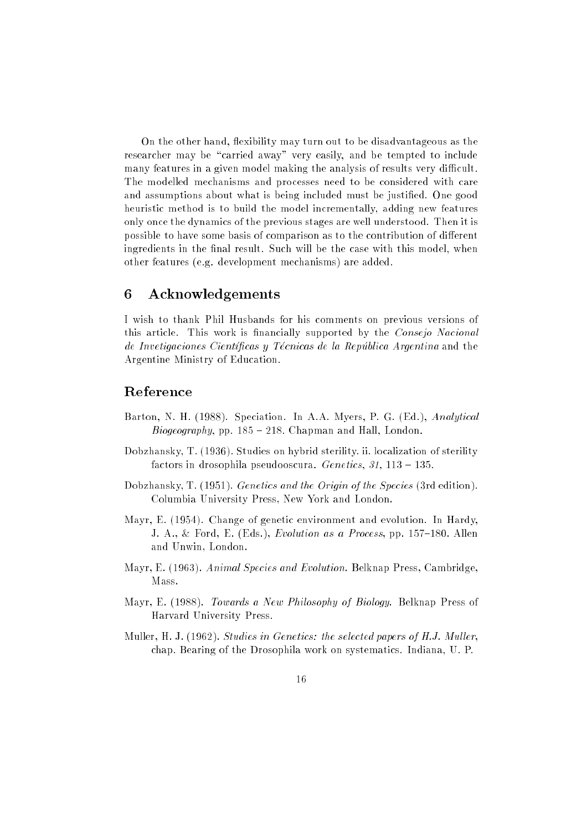On the other hand, flexibility may turn out to be disadvantageous as the researcher may be "carried away" very easily, and be tempted to include many features in a given model making the analysis of results very difficult. The modelled mechanisms and processes need to be considered with care and assumptions about what is being included must be justied. One good heuristic method is to build the model incrementally, adding new features only once the dynamics of the previous stages are well understood. Then it is possible to have some basis of comparison as to the contribution of different ingredients in the final result. Such will be the case with this model, when other features (e.g. development mechanisms) are added.

### 6 Acknowledgements

I wish to thank Phil Husbands for his comments on previous versions of this article. This work is financially supported by the *Consejo Nacional* de Invetigaciones Científicas y Técnicas de la República Argentina and the Argentine Ministry of Education.

## Reference

- Barton, N. H. (1988). Speciation. In A.A. Myers, P. G. (Ed.), Analytical  $Biogeography$ , pp. 185 - 218. Chapman and Hall, London.
- Dobzhansky, T. (1936). Studies on hybrid sterility. ii. localization of sterility factors in drosophila pseudooscura. Genetics,  $31$ ,  $113 - 135$ .
- Dobzhansky, T. (1951). Genetics and the Origin of the Species (3rd edition). Columbia University Press, New York and London.
- Mayr, E. (1954). Change of genetic environment and evolution. In Hardy, J. A., & Ford, E. (Eds.), Evolution as a Process, pp. 157-180. Allen and Unwin, London.
- Mayr, E. (1963). Animal Species and Evolution. Belknap Press, Cambridge, Mass.
- Mayr, E. (1988). *Towards a New Philosophy of Biology*. Belknap Press of Harvard University Press.
- Muller, H. J. (1962). Studies in Genetics: the selected papers of H.J. Muller, chap. Bearing of the Drosophila work on systematics. Indiana, U. P.